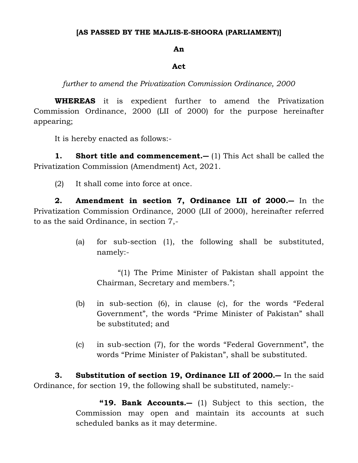## **[AS PASSED BY THE MAJLIS-E-SHOORA (PARLIAMENT)]**

## **An**

## **Act**

*further to amend the Privatization Commission Ordinance, 2000*

**WHEREAS** it is expedient further to amend the Privatization Commission Ordinance, 2000 (LII of 2000) for the purpose hereinafter appearing;

It is hereby enacted as follows:-

**1. Short title and commencement.―** (1) This Act shall be called the Privatization Commission (Amendment) Act, 2021.

(2) It shall come into force at once.

**2. Amendment in section 7, Ordinance LII of 2000.―** In the Privatization Commission Ordinance, 2000 (LII of 2000), hereinafter referred to as the said Ordinance, in section 7,-

> (a) for sub-section (1), the following shall be substituted, namely:-

"(1) The Prime Minister of Pakistan shall appoint the Chairman, Secretary and members.";

- (b) in sub-section (6), in clause (c), for the words "Federal Government", the words "Prime Minister of Pakistan" shall be substituted; and
- (c) in sub-section (7), for the words "Federal Government", the words "Prime Minister of Pakistan", shall be substituted.

**3. Substitution of section 19, Ordinance LII of 2000.―** In the said Ordinance, for section 19, the following shall be substituted, namely:-

> **"19. Bank Accounts.―** (1) Subject to this section, the Commission may open and maintain its accounts at such scheduled banks as it may determine.